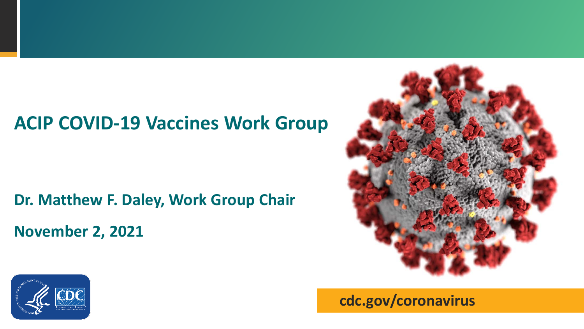### **ACIP COVID-19 Vaccines Work Group**

# **Dr. Matthew F. Daley, Work Group Chair**

**November 2, 2021**



**cdc.gov/coronavirus**

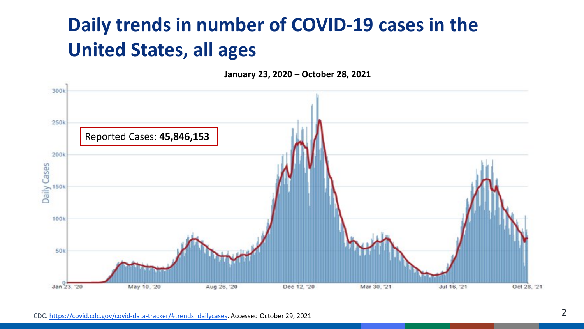# **Daily trends in number of COVID-19 cases in the United States, all ages**

**January 23, 2020 – October 28, 2021**

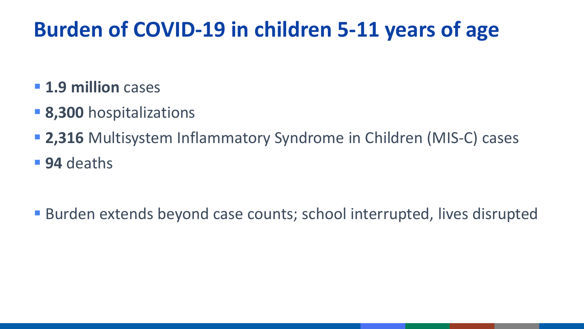# **Burden of COVID-19 in children 5-11 years of age**

- **1.9 million cases**
- **8,300** hospitalizations
- **2,316** Multisystem Inflammatory Syndrome in Children (MIS-C) cases
- **94** deaths
- Burden extends beyond case counts; school interrupted, lives disrupted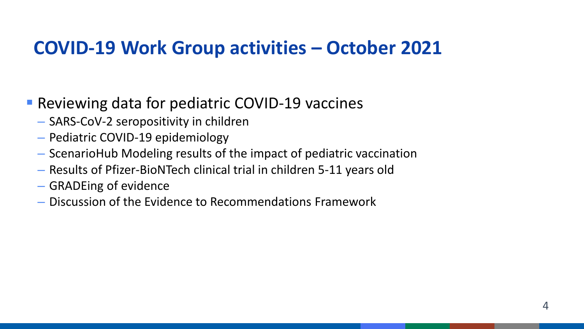### **COVID-19 Work Group activities – October 2021**

- Reviewing data for pediatric COVID-19 vaccines
	- SARS-CoV-2 seropositivity in children
	- Pediatric COVID-19 epidemiology
	- ScenarioHub Modeling results of the impact of pediatric vaccination
	- Results of Pfizer-BioNTech clinical trial in children 5-11 years old
	- GRADEing of evidence
	- Discussion of the Evidence to Recommendations Framework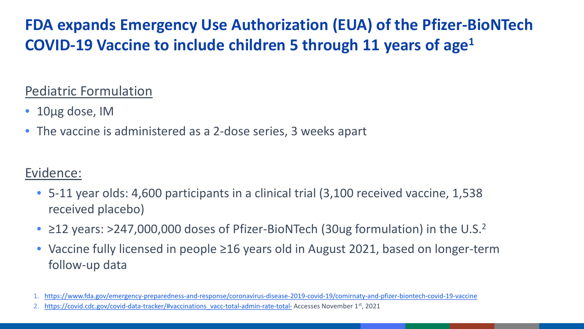### **FDA expands Emergency Use Authorization (EUA) of the Pfizer-BioNTech COVID-19 Vaccine to include children 5 through 11 years of age1**

#### Pediatric Formulation

- 10µg dose, IM
- The vaccine is administered as a 2-dose series, 3 weeks apart

### Evidence:

- 5-11 year olds: 4,600 participants in a clinical trial (3,100 received vaccine, 1,538 received placebo)
- $\geq$ 12 years: >247,000,000 doses of Pfizer-BioNTech (30ug formulation) in the U.S.<sup>2</sup>
- Vaccine fully licensed in people ≥16 years old in August 2021, based on longer-term follow-up data
- 1. <https://www.fda.gov/emergency-preparedness-and-response/coronavirus-disease-2019-covid-19/comirnaty-and-pfizer-biontech-covid-19-vaccine>

[https://covid.cdc.gov/covid-data-tracker/#vaccinations\\_vacc-total-admin-rate-total-](https://covid.cdc.gov/covid-data-tracker/#vaccinations_vacc-total-admin-rate-total-) Accesses November 1st, 2021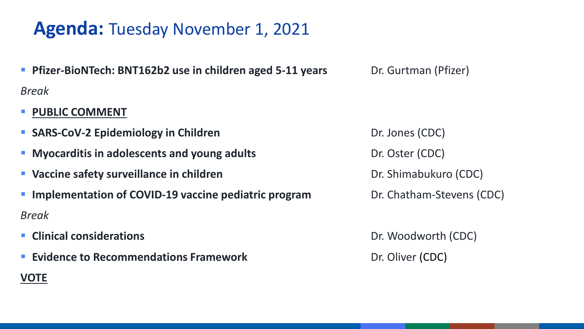### **Agenda:** Tuesday November 1, 2021

- **Phizer-BioNTech: BNT162b2 use in children aged 5-11 years** Dr. Gurtman (Pfizer) *Break*
- **PUBLIC COMMENT**
- **SARS-CoV-2 Epidemiology in Children Dr. Jones (CDC)**
- **Myocarditis in adolescents and young adults Dr. Oster (CDC)**
- **Vaccine safety surveillance in children Dr. Shimabukuro (CDC)**
- **Implementation of COVID-19 vaccine pediatric program** Dr. Chatham-Stevens (CDC) *Break*
- **Example 2 Clinical considerations Dr. Woodworth (CDC)**

**VOTE**

**Evidence to Recommendations Framework Dr. Oliver (CDC)**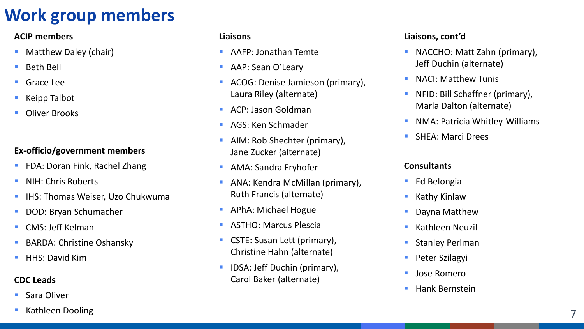### **Work group members**

#### **ACIP members**

- Matthew Daley (chair)
- Beth Bell
- Grace Lee
- Keipp Talbot
- Oliver Brooks

#### **Ex-officio/government members**

- FDA: Doran Fink, Rachel Zhang
- NIH: Chris Roberts
- IHS: Thomas Weiser, Uzo Chukwuma
- DOD: Bryan Schumacher
- CMS: Jeff Kelman
- BARDA: Christine Oshansky
- HHS: David Kim

#### **CDC Leads**

- Sara Oliver
- Kathleen Dooling

#### **Liaisons**

- AAFP: Jonathan Temte
- **AAP: Sean O'Leary**
- **ACOG: Denise Jamieson (primary),** Laura Riley (alternate)
- ACP: Jason Goldman
- **AGS: Ken Schmader**
- **AIM: Rob Shechter (primary),** Jane Zucker (alternate)
- **AMA: Sandra Fryhofer**
- **ANA: Kendra McMillan (primary),** Ruth Francis (alternate)
- **APhA: Michael Hogue**
- **ASTHO: Marcus Plescia**
- **CSTE: Susan Lett (primary),** Christine Hahn (alternate)
- IDSA: Jeff Duchin (primary), Carol Baker (alternate)

#### **Liaisons, cont'd**

- **NACCHO: Matt Zahn (primary),** Jeff Duchin (alternate)
- **NACI: Matthew Tunis**
- NFID: Bill Schaffner (primary), Marla Dalton (alternate)
- **NMA: Patricia Whitley-Williams**
- SHEA: Marci Drees

#### **Consultants**

- Ed Belongia
- **Kathy Kinlaw**
- **Dayna Matthew**
- **Kathleen Neuzil**
- Stanley Perlman
- Peter Szilagyi
- **Jose Romero**
- **Hank Bernstein**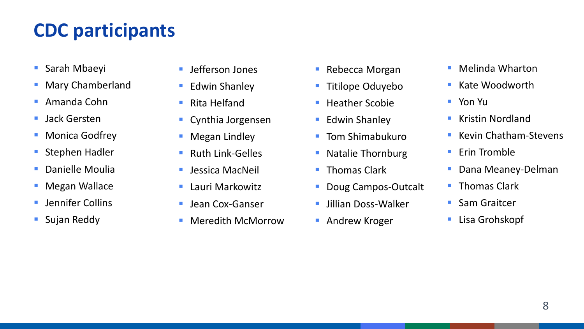# **CDC participants**

- Sarah Mbaeyi
- **Mary Chamberland**
- Amanda Cohn
- **Jack Gersten**
- Monica Godfrey
- **Stephen Hadler**
- **Danielle Moulia**
- **Megan Wallace**
- Jennifer Collins
- **Sujan Reddy**
- Jefferson Jones
- **Edwin Shanley**
- Rita Helfand
- **Cynthia Jorgensen**
- **Negan Lindley**
- Ruth Link-Gelles
- **Langua MacNeil**
- **Lauri Markowitz**
- **Jean Cox-Ganser**
- Meredith McMorrow
- Rebecca Morgan
- **Titilope Oduyebo**
- $\blacksquare$  Heather Scobie
- **Edwin Shanley**
- Tom Shimabukuro
- **Natalie Thornburg**
- **Thomas Clark**
- **Doug Campos-Outcalt**
- **Jillian Doss-Walker**
- **Andrew Kroger**
- Melinda Wharton
- $\blacksquare$  Kate Woodworth
- Yon Yu
- **Kristin Nordland**
- Kevin Chatham-Stevens
- $\blacksquare$  Erin Tromble
- **Dana Meaney-Delman**
- **Thomas Clark**
- **Sam Graitcer**
- Lisa Grohskopf